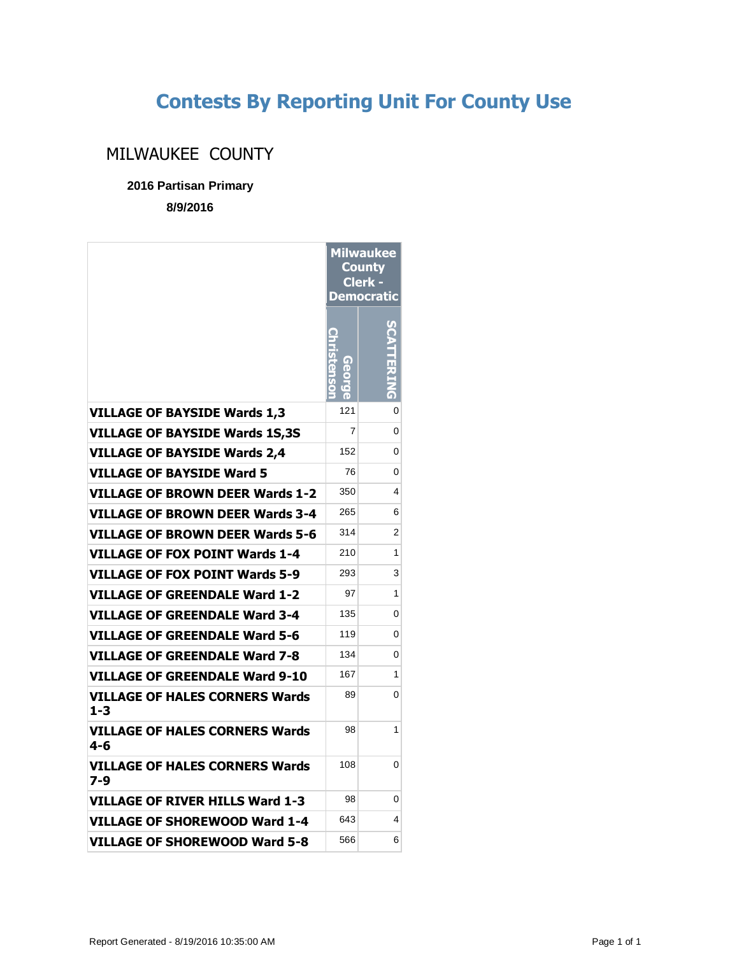## **Contests By Reporting Unit For County Use**

## MILWAUKEE COUNTY

**2016 Partisan Primary**

**8/9/2016**

|                                                  | <b>Milwaukee</b><br><u>County</u><br>Clerk -<br>Democratic |   |
|--------------------------------------------------|------------------------------------------------------------|---|
|                                                  | Christenso                                                 |   |
| <b>VILLAGE OF BAYSIDE Wards 1,3</b>              | 121                                                        | 0 |
| <b>VILLAGE OF BAYSIDE Wards 1S,3S</b>            | 7                                                          | 0 |
| <b>VILLAGE OF BAYSIDE Wards 2,4</b>              | 152                                                        | 0 |
| <b>VILLAGE OF BAYSIDE Ward 5</b>                 | 76                                                         | 0 |
| VILLAGE OF BROWN DEER Wards 1-2                  | 350                                                        | 4 |
| VILLAGE OF BROWN DEER Wards 3-4                  | 265                                                        | 6 |
| VILLAGE OF BROWN DEER Wards 5-6                  | 314                                                        | 2 |
| VILLAGE OF FOX POINT Wards 1-4                   | 210                                                        | 1 |
| VILLAGE OF FOX POINT Wards 5-9                   | 293                                                        | 3 |
| VILLAGE OF GREENDALE Ward 1-2                    | 97                                                         | 1 |
| <b>VILLAGE OF GREENDALE Ward 3-4</b>             | 135                                                        | 0 |
| VILLAGE OF GREENDALE Ward 5-6                    | 119                                                        | 0 |
| VILLAGE OF GREENDALE Ward 7-8                    | 134                                                        | 0 |
| VILLAGE OF GREENDALE Ward 9-10                   | 167                                                        | 1 |
| <b>VILLAGE OF HALES CORNERS Wards</b><br>$1 - 3$ | 89                                                         | 0 |
| VILLAGE OF HALES CORNERS Wards<br>4-6            | 98                                                         | 1 |
| VILLAGE OF HALES CORNERS Wards<br>7-9            | 108                                                        | 0 |
| <b>VILLAGE OF RIVER HILLS Ward 1-3</b>           | 98                                                         | 0 |
| VILLAGE OF SHOREWOOD Ward 1-4                    | 643                                                        | 4 |
| VILLAGE OF SHOREWOOD Ward 5-8                    | 566                                                        | 6 |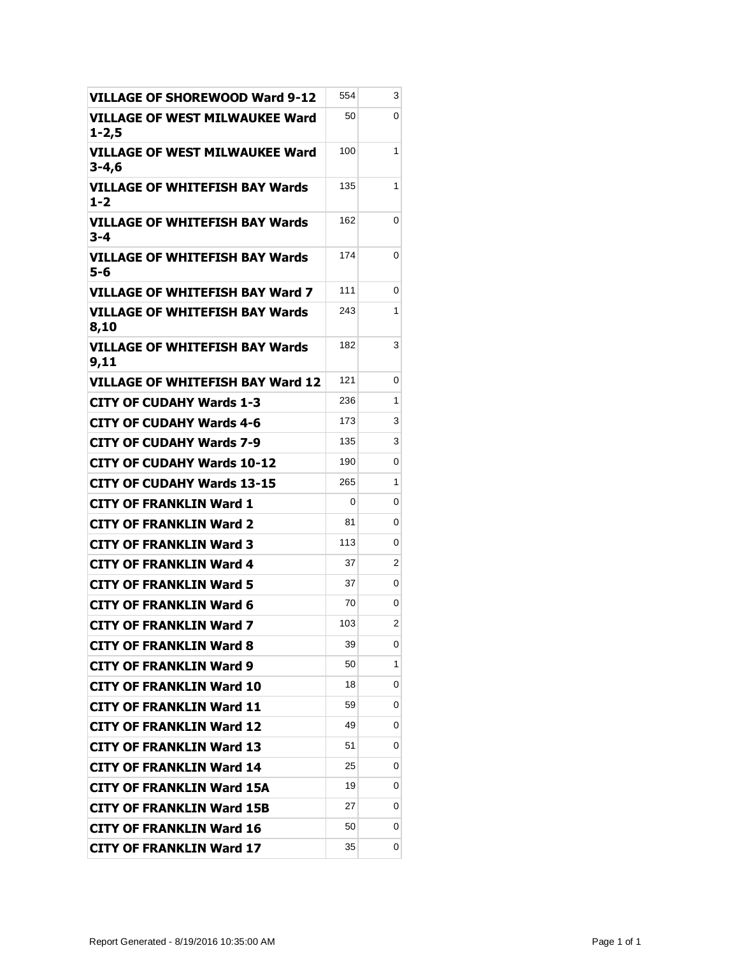| <b>VILLAGE OF SHOREWOOD Ward 9-12</b>         | 554 | 3 |
|-----------------------------------------------|-----|---|
| VILLAGE OF WEST MILWAUKEE Ward<br>$1 - 2,5$   | 50  | 0 |
| VILLAGE OF WEST MILWAUKEE Ward<br>$3 - 4,6$   | 100 | 1 |
| VILLAGE OF WHITEFISH BAY Wards<br>$1 - 2$     | 135 | 1 |
| <b>VILLAGE OF WHITEFISH BAY Wards</b><br>3-4  | 162 | 0 |
| VILLAGE OF WHITEFISH BAY Wards<br>5-6         | 174 | 0 |
| VILLAGE OF WHITEFISH BAY Ward 7               | 111 | 0 |
| VILLAGE OF WHITEFISH BAY Wards<br>8,10        | 243 | 1 |
| <b>VILLAGE OF WHITEFISH BAY Wards</b><br>9,11 | 182 | 3 |
| <b>VILLAGE OF WHITEFISH BAY Ward 12</b>       | 121 | 0 |
| <b>CITY OF CUDAHY Wards 1-3</b>               | 236 | 1 |
| <b>CITY OF CUDAHY Wards 4-6</b>               | 173 | 3 |
| <b>CITY OF CUDAHY Wards 7-9</b>               | 135 | 3 |
| <b>CITY OF CUDAHY Wards 10-12</b>             | 190 | 0 |
| <b>CITY OF CUDAHY Wards 13-15</b>             | 265 | 1 |
| <b>CITY OF FRANKLIN Ward 1</b>                | 0   | 0 |
| <b>CITY OF FRANKLIN Ward 2</b>                | 81  | 0 |
| <b>CITY OF FRANKLIN Ward 3</b>                | 113 | 0 |
| <b>CITY OF FRANKLIN Ward 4</b>                | 37  | 2 |
| <b>CITY OF FRANKLIN Ward 5</b>                | 37  | 0 |
| <b>CITY OF FRANKLIN Ward 6</b>                | 70  | 0 |
| <b>CITY OF FRANKLIN Ward 7</b>                | 103 | 2 |
| <b>CITY OF FRANKLIN Ward 8</b>                | 39  | 0 |
| <b>CITY OF FRANKLIN Ward 9</b>                | 50  | 1 |
| <b>CITY OF FRANKLIN Ward 10</b>               | 18  | 0 |
| <b>CITY OF FRANKLIN Ward 11</b>               | 59  | 0 |
| <b>CITY OF FRANKLIN Ward 12</b>               | 49  | 0 |
| <b>CITY OF FRANKLIN Ward 13</b>               | 51  | 0 |
| CITY OF FRANKLIN Ward 14                      | 25  | 0 |
| <b>CITY OF FRANKLIN Ward 15A</b>              | 19  | 0 |
| <b>CITY OF FRANKLIN Ward 15B</b>              | 27  | 0 |
| <b>CITY OF FRANKLIN Ward 16</b>               | 50  | 0 |
| <b>CITY OF FRANKLIN Ward 17</b>               | 35  | 0 |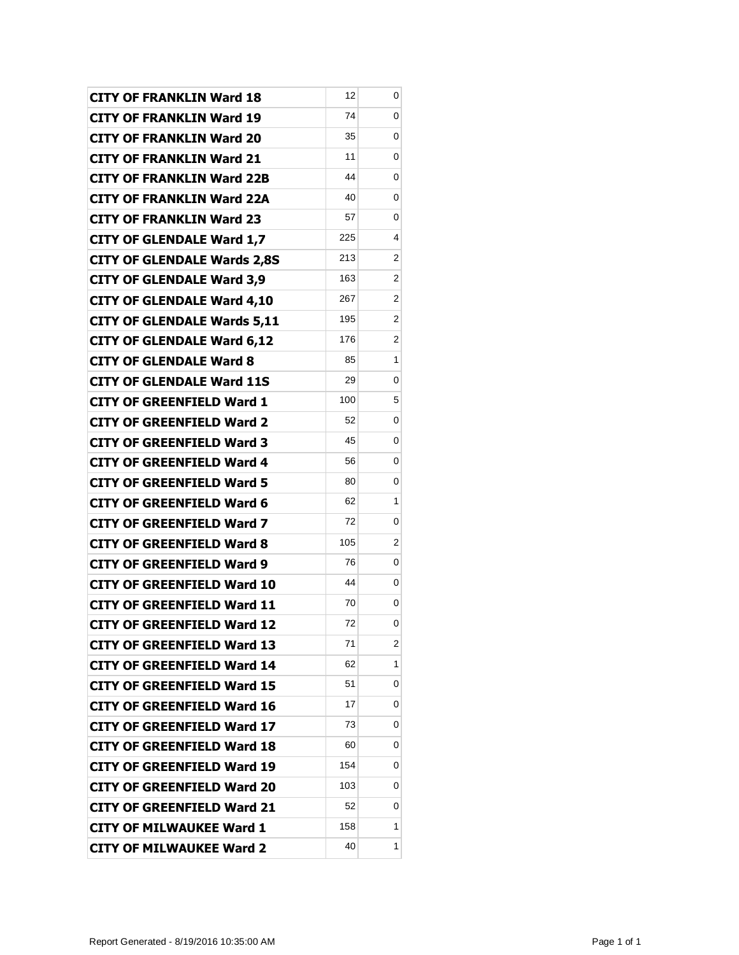| <b>CITY OF FRANKLIN Ward 18</b>    | 12  | 0              |
|------------------------------------|-----|----------------|
| <b>CITY OF FRANKLIN Ward 19</b>    | 74  | 0              |
| <b>CITY OF FRANKLIN Ward 20</b>    | 35  | 0              |
| <b>CITY OF FRANKLIN Ward 21</b>    | 11  | 0              |
| <b>CITY OF FRANKLIN Ward 22B</b>   | 44  | 0              |
| <b>CITY OF FRANKLIN Ward 22A</b>   | 40  | 0              |
| <b>CITY OF FRANKLIN Ward 23</b>    | 57  | 0              |
| <b>CITY OF GLENDALE Ward 1,7</b>   | 225 | 4              |
| <b>CITY OF GLENDALE Wards 2,8S</b> | 213 | 2              |
| <b>CITY OF GLENDALE Ward 3,9</b>   | 163 | 2              |
| <b>CITY OF GLENDALE Ward 4,10</b>  | 267 | $\overline{2}$ |
| <b>CITY OF GLENDALE Wards 5,11</b> | 195 | 2              |
| <b>CITY OF GLENDALE Ward 6,12</b>  | 176 | 2              |
| <b>CITY OF GLENDALE Ward 8</b>     | 85  | 1              |
| <b>CITY OF GLENDALE Ward 11S</b>   | 29  | 0              |
| <b>CITY OF GREENFIELD Ward 1</b>   | 100 | 5              |
| <b>CITY OF GREENFIELD Ward 2</b>   | 52  | 0              |
| <b>CITY OF GREENFIELD Ward 3</b>   | 45  | 0              |
| <b>CITY OF GREENFIELD Ward 4</b>   | 56  | 0              |
| <b>CITY OF GREENFIELD Ward 5</b>   | 80  | 0              |
| <b>CITY OF GREENFIELD Ward 6</b>   | 62  | 1              |
| <b>CITY OF GREENFIELD Ward 7</b>   | 72  | 0              |
| <b>CITY OF GREENFIELD Ward 8</b>   | 105 | $\overline{2}$ |
| <b>CITY OF GREENFIELD Ward 9</b>   | 76  | 0              |
| <b>CITY OF GREENFIELD Ward 10</b>  | 44  | 0              |
| <b>CITY OF GREENFIELD Ward 11</b>  | 70  | 0              |
| CITY OF GREENFIELD Ward 12         | 72  | 0              |
| CITY OF GREENFIELD Ward 13         | 71  | $\overline{2}$ |
| <b>CITY OF GREENFIELD Ward 14</b>  | 62  | 1              |
| <b>CITY OF GREENFIELD Ward 15</b>  | 51  | 0              |
| <b>CITY OF GREENFIELD Ward 16</b>  | 17  | 0              |
| <b>CITY OF GREENFIELD Ward 17</b>  | 73  | 0              |
| <b>CITY OF GREENFIELD Ward 18</b>  | 60  | 0              |
| <b>CITY OF GREENFIELD Ward 19</b>  | 154 | 0              |
| <b>CITY OF GREENFIELD Ward 20</b>  | 103 | 0              |
| <b>CITY OF GREENFIELD Ward 21</b>  | 52  | 0              |
| <b>CITY OF MILWAUKEE Ward 1</b>    | 158 | 1              |
| <b>CITY OF MILWAUKEE Ward 2</b>    | 40  | 1              |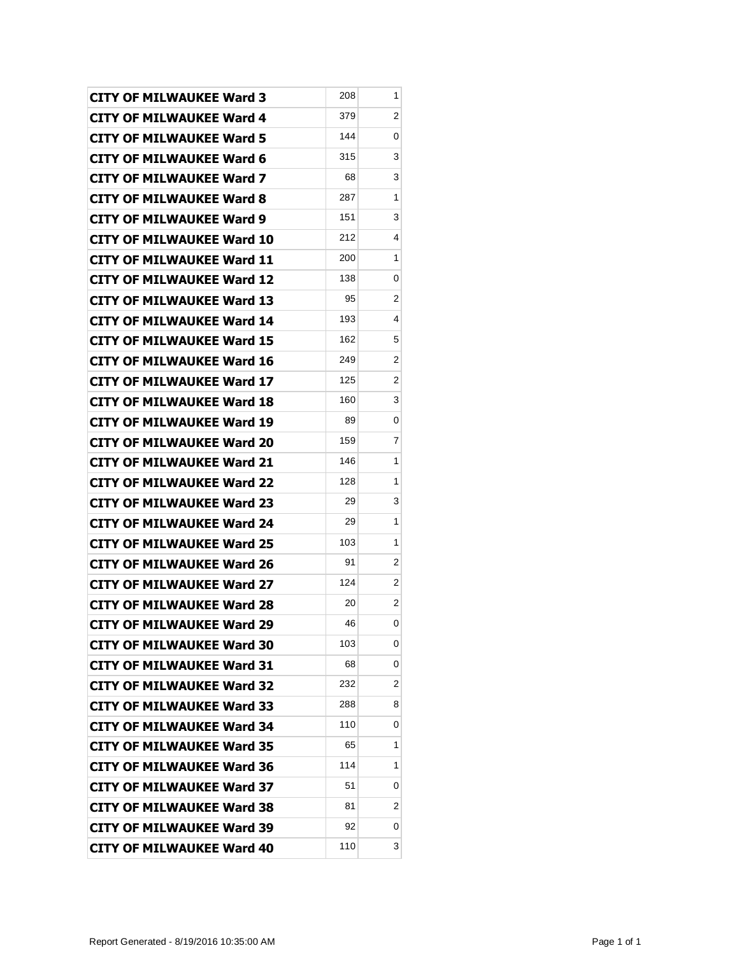| <b>CITY OF MILWAUKEE Ward 3</b>  | 208 | 1 |
|----------------------------------|-----|---|
| <b>CITY OF MILWAUKEE Ward 4</b>  | 379 | 2 |
| <b>CITY OF MILWAUKEE Ward 5</b>  | 144 | 0 |
| <b>CITY OF MILWAUKEE Ward 6</b>  | 315 | 3 |
| <b>CITY OF MILWAUKEE Ward 7</b>  | 68  | 3 |
| <b>CITY OF MILWAUKEE Ward 8</b>  | 287 | 1 |
| <b>CITY OF MILWAUKEE Ward 9</b>  | 151 | 3 |
| CITY OF MILWAUKEE Ward 10        | 212 | 4 |
| <b>CITY OF MILWAUKEE Ward 11</b> | 200 | 1 |
| <b>CITY OF MILWAUKEE Ward 12</b> | 138 | 0 |
| <b>CITY OF MILWAUKEE Ward 13</b> | 95  | 2 |
| <b>CITY OF MILWAUKEE Ward 14</b> | 193 | 4 |
| <b>CITY OF MILWAUKEE Ward 15</b> | 162 | 5 |
| <b>CITY OF MILWAUKEE Ward 16</b> | 249 | 2 |
| <b>CITY OF MILWAUKEE Ward 17</b> | 125 | 2 |
| <b>CITY OF MILWAUKEE Ward 18</b> | 160 | 3 |
| <b>CITY OF MILWAUKEE Ward 19</b> | 89  | 0 |
| <b>CITY OF MILWAUKEE Ward 20</b> | 159 | 7 |
| <b>CITY OF MILWAUKEE Ward 21</b> | 146 | 1 |
| <b>CITY OF MILWAUKEE Ward 22</b> | 128 | 1 |
| <b>CITY OF MILWAUKEE Ward 23</b> | 29  | 3 |
| <b>CITY OF MILWAUKEE Ward 24</b> | 29  | 1 |
| <b>CITY OF MILWAUKEE Ward 25</b> | 103 | 1 |
| <b>CITY OF MILWAUKEE Ward 26</b> | 91  | 2 |
| <b>CITY OF MILWAUKEE Ward 27</b> | 124 | 2 |
| <b>CITY OF MILWAUKEE Ward 28</b> | 20  | 2 |
| CITY OF MILWAUKEE Ward 29        | 46  | 0 |
| <b>CITY OF MILWAUKEE Ward 30</b> | 103 | 0 |
| <b>CITY OF MILWAUKEE Ward 31</b> | 68  | 0 |
| <b>CITY OF MILWAUKEE Ward 32</b> | 232 | 2 |
| <b>CITY OF MILWAUKEE Ward 33</b> | 288 | 8 |
| <b>CITY OF MILWAUKEE Ward 34</b> | 110 | 0 |
| <b>CITY OF MILWAUKEE Ward 35</b> | 65  | 1 |
| <b>CITY OF MILWAUKEE Ward 36</b> | 114 | 1 |
| <b>CITY OF MILWAUKEE Ward 37</b> | 51  | 0 |
| <b>CITY OF MILWAUKEE Ward 38</b> | 81  | 2 |
| <b>CITY OF MILWAUKEE Ward 39</b> | 92  | 0 |
| <b>CITY OF MILWAUKEE Ward 40</b> | 110 | 3 |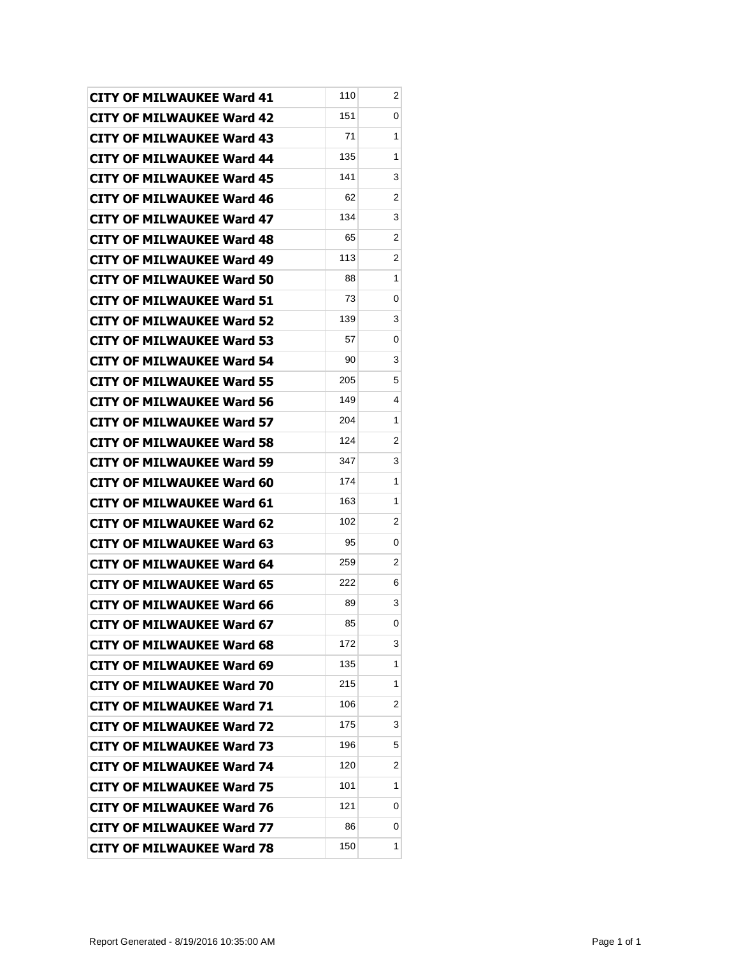| <b>CITY OF MILWAUKEE Ward 41</b> | 110 | 2 |
|----------------------------------|-----|---|
| <b>CITY OF MILWAUKEE Ward 42</b> | 151 | 0 |
| <b>CITY OF MILWAUKEE Ward 43</b> | 71  | 1 |
| <b>CITY OF MILWAUKEE Ward 44</b> | 135 | 1 |
| <b>CITY OF MILWAUKEE Ward 45</b> | 141 | 3 |
| <b>CITY OF MILWAUKEE Ward 46</b> | 62  | 2 |
| <b>CITY OF MILWAUKEE Ward 47</b> | 134 | 3 |
| <b>CITY OF MILWAUKEE Ward 48</b> | 65  | 2 |
| <b>CITY OF MILWAUKEE Ward 49</b> | 113 | 2 |
| <b>CITY OF MILWAUKEE Ward 50</b> | 88  | 1 |
| <b>CITY OF MILWAUKEE Ward 51</b> | 73  | 0 |
| <b>CITY OF MILWAUKEE Ward 52</b> | 139 | 3 |
| <b>CITY OF MILWAUKEE Ward 53</b> | 57  | 0 |
| <b>CITY OF MILWAUKEE Ward 54</b> | 90  | 3 |
| <b>CITY OF MILWAUKEE Ward 55</b> | 205 | 5 |
| <b>CITY OF MILWAUKEE Ward 56</b> | 149 | 4 |
| <b>CITY OF MILWAUKEE Ward 57</b> | 204 | 1 |
| <b>CITY OF MILWAUKEE Ward 58</b> | 124 | 2 |
| <b>CITY OF MILWAUKEE Ward 59</b> | 347 | 3 |
| <b>CITY OF MILWAUKEE Ward 60</b> | 174 | 1 |
| <b>CITY OF MILWAUKEE Ward 61</b> | 163 | 1 |
| <b>CITY OF MILWAUKEE Ward 62</b> | 102 | 2 |
| CITY OF MILWAUKEE Ward 63        | 95  | 0 |
| <b>CITY OF MILWAUKEE Ward 64</b> | 259 | 2 |
| <b>CITY OF MILWAUKEE Ward 65</b> | 222 | 6 |
| <b>CITY OF MILWAUKEE Ward 66</b> | 89  | 3 |
| CITY OF MILWAUKEE Ward 67        | 85  | 0 |
| <b>CITY OF MILWAUKEE Ward 68</b> | 172 | 3 |
| <b>CITY OF MILWAUKEE Ward 69</b> | 135 | 1 |
| <b>CITY OF MILWAUKEE Ward 70</b> | 215 | 1 |
| <b>CITY OF MILWAUKEE Ward 71</b> | 106 | 2 |
| <b>CITY OF MILWAUKEE Ward 72</b> | 175 | 3 |
| <b>CITY OF MILWAUKEE Ward 73</b> | 196 | 5 |
| <b>CITY OF MILWAUKEE Ward 74</b> | 120 | 2 |
| <b>CITY OF MILWAUKEE Ward 75</b> | 101 | 1 |
| <b>CITY OF MILWAUKEE Ward 76</b> | 121 | 0 |
| <b>CITY OF MILWAUKEE Ward 77</b> | 86  | 0 |
| <b>CITY OF MILWAUKEE Ward 78</b> | 150 | 1 |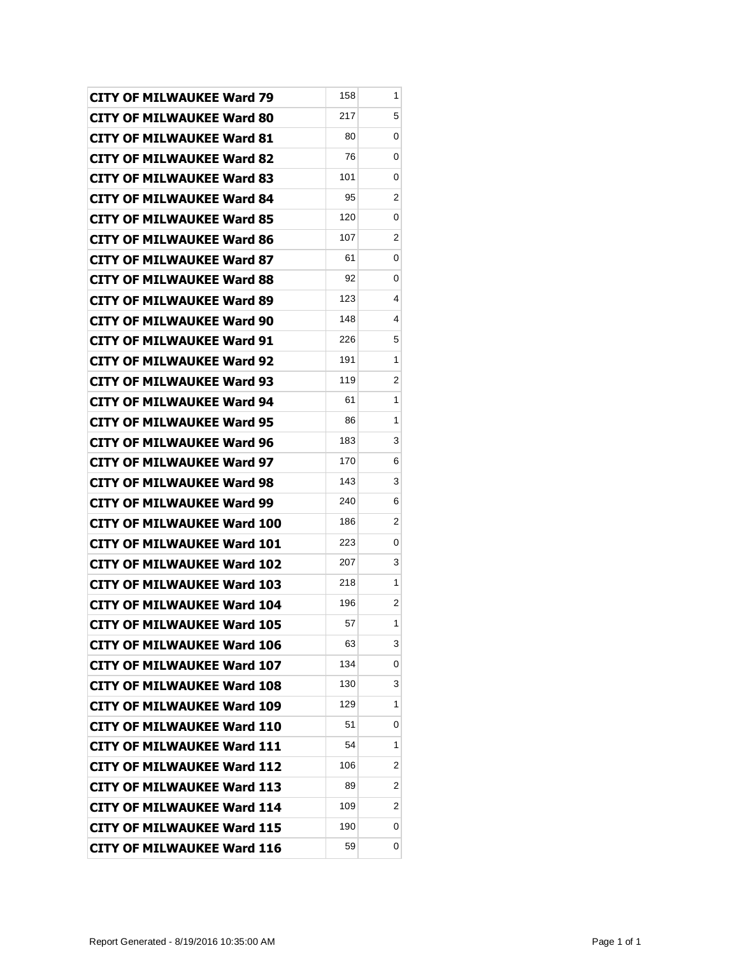| <b>CITY OF MILWAUKEE Ward 79</b>  | 158 | 1 |
|-----------------------------------|-----|---|
| <b>CITY OF MILWAUKEE Ward 80</b>  | 217 | 5 |
| <b>CITY OF MILWAUKEE Ward 81</b>  | 80  | 0 |
| <b>CITY OF MILWAUKEE Ward 82</b>  | 76  | 0 |
| <b>CITY OF MILWAUKEE Ward 83</b>  | 101 | 0 |
| <b>CITY OF MILWAUKEE Ward 84</b>  | 95  | 2 |
| <b>CITY OF MILWAUKEE Ward 85</b>  | 120 | 0 |
| <b>CITY OF MILWAUKEE Ward 86</b>  | 107 | 2 |
| <b>CITY OF MILWAUKEE Ward 87</b>  | 61  | 0 |
| CITY OF MILWAUKEE Ward 88         | 92  | 0 |
| <b>CITY OF MILWAUKEE Ward 89</b>  | 123 | 4 |
| <b>CITY OF MILWAUKEE Ward 90</b>  | 148 | 4 |
| <b>CITY OF MILWAUKEE Ward 91</b>  | 226 | 5 |
| <b>CITY OF MILWAUKEE Ward 92</b>  | 191 | 1 |
| <b>CITY OF MILWAUKEE Ward 93</b>  | 119 | 2 |
| <b>CITY OF MILWAUKEE Ward 94</b>  | 61  | 1 |
| <b>CITY OF MILWAUKEE Ward 95</b>  | 86  | 1 |
| <b>CITY OF MILWAUKEE Ward 96</b>  | 183 | 3 |
| <b>CITY OF MILWAUKEE Ward 97</b>  | 170 | 6 |
| CITY OF MILWAUKEE Ward 98         | 143 | 3 |
| <b>CITY OF MILWAUKEE Ward 99</b>  | 240 | 6 |
| <b>CITY OF MILWAUKEE Ward 100</b> | 186 | 2 |
| <b>CITY OF MILWAUKEE Ward 101</b> | 223 | 0 |
| <b>CITY OF MILWAUKEE Ward 102</b> | 207 | 3 |
| <b>CITY OF MILWAUKEE Ward 103</b> | 218 | 1 |
| <b>CITY OF MILWAUKEE Ward 104</b> | 196 | 2 |
| <b>CITY OF MILWAUKEE Ward 105</b> | 57  | 1 |
| <b>CITY OF MILWAUKEE Ward 106</b> | 63  | 3 |
| <b>CITY OF MILWAUKEE Ward 107</b> | 134 | 0 |
| <b>CITY OF MILWAUKEE Ward 108</b> | 130 | 3 |
| <b>CITY OF MILWAUKEE Ward 109</b> | 129 | 1 |
| <b>CITY OF MILWAUKEE Ward 110</b> | 51  | 0 |
| <b>CITY OF MILWAUKEE Ward 111</b> | 54  | 1 |
| <b>CITY OF MILWAUKEE Ward 112</b> | 106 | 2 |
| <b>CITY OF MILWAUKEE Ward 113</b> | 89  | 2 |
| <b>CITY OF MILWAUKEE Ward 114</b> | 109 | 2 |
| <b>CITY OF MILWAUKEE Ward 115</b> | 190 | 0 |
| <b>CITY OF MILWAUKEE Ward 116</b> | 59  | 0 |
|                                   |     |   |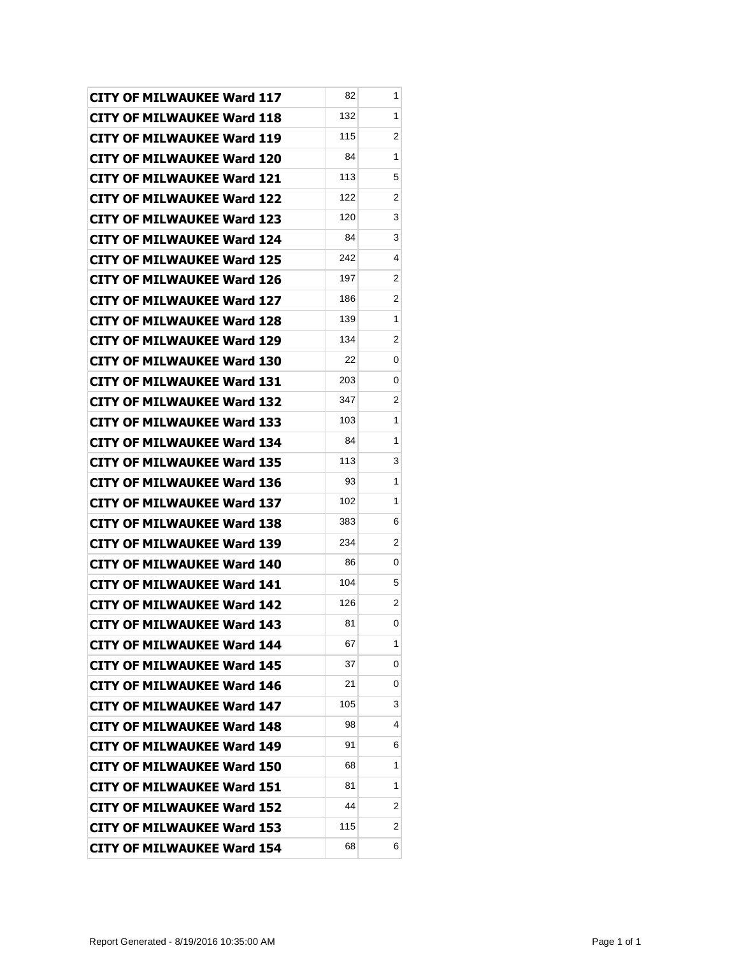| <b>CITY OF MILWAUKEE Ward 117</b> | 82  | 1 |
|-----------------------------------|-----|---|
| <b>CITY OF MILWAUKEE Ward 118</b> | 132 | 1 |
| <b>CITY OF MILWAUKEE Ward 119</b> | 115 | 2 |
| <b>CITY OF MILWAUKEE Ward 120</b> | 84  | 1 |
| <b>CITY OF MILWAUKEE Ward 121</b> | 113 | 5 |
| <b>CITY OF MILWAUKEE Ward 122</b> | 122 | 2 |
| <b>CITY OF MILWAUKEE Ward 123</b> | 120 | 3 |
| <b>CITY OF MILWAUKEE Ward 124</b> | 84  | 3 |
| <b>CITY OF MILWAUKEE Ward 125</b> | 242 | 4 |
| <b>CITY OF MILWAUKEE Ward 126</b> | 197 | 2 |
| <b>CITY OF MILWAUKEE Ward 127</b> | 186 | 2 |
| <b>CITY OF MILWAUKEE Ward 128</b> | 139 | 1 |
| <b>CITY OF MILWAUKEE Ward 129</b> | 134 | 2 |
| <b>CITY OF MILWAUKEE Ward 130</b> | 22  | 0 |
| <b>CITY OF MILWAUKEE Ward 131</b> | 203 | 0 |
| <b>CITY OF MILWAUKEE Ward 132</b> | 347 | 2 |
| <b>CITY OF MILWAUKEE Ward 133</b> | 103 | 1 |
| <b>CITY OF MILWAUKEE Ward 134</b> | 84  | 1 |
| <b>CITY OF MILWAUKEE Ward 135</b> | 113 | 3 |
| <b>CITY OF MILWAUKEE Ward 136</b> | 93  | 1 |
| <b>CITY OF MILWAUKEE Ward 137</b> | 102 | 1 |
| <b>CITY OF MILWAUKEE Ward 138</b> | 383 | 6 |
| <b>CITY OF MILWAUKEE Ward 139</b> | 234 | 2 |
| <b>CITY OF MILWAUKEE Ward 140</b> | 86  | 0 |
| <b>CITY OF MILWAUKEE Ward 141</b> | 104 | 5 |
| <b>CITY OF MILWAUKEE Ward 142</b> | 126 | 2 |
| <b>CITY OF MILWAUKEE Ward 143</b> | 81  | 0 |
| <b>CITY OF MILWAUKEE Ward 144</b> | 67  | 1 |
| <b>CITY OF MILWAUKEE Ward 145</b> | 37  | 0 |
| <b>CITY OF MILWAUKEE Ward 146</b> | 21  | 0 |
| <b>CITY OF MILWAUKEE Ward 147</b> | 105 | 3 |
| <b>CITY OF MILWAUKEE Ward 148</b> | 98  | 4 |
| <b>CITY OF MILWAUKEE Ward 149</b> | 91  | 6 |
| <b>CITY OF MILWAUKEE Ward 150</b> | 68  | 1 |
| <b>CITY OF MILWAUKEE Ward 151</b> | 81  | 1 |
| <b>CITY OF MILWAUKEE Ward 152</b> | 44  | 2 |
| <b>CITY OF MILWAUKEE Ward 153</b> | 115 | 2 |
| <b>CITY OF MILWAUKEE Ward 154</b> | 68  | 6 |
|                                   |     |   |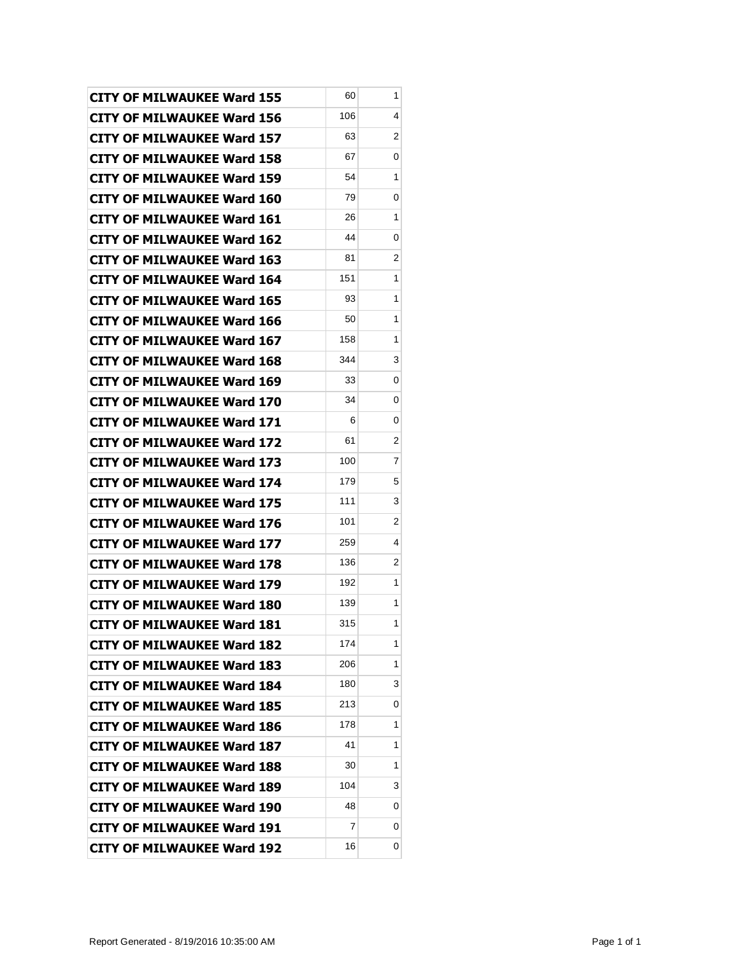| <b>CITY OF MILWAUKEE Ward 155</b> | 60  | 1 |
|-----------------------------------|-----|---|
| <b>CITY OF MILWAUKEE Ward 156</b> | 106 | 4 |
| <b>CITY OF MILWAUKEE Ward 157</b> | 63  | 2 |
| <b>CITY OF MILWAUKEE Ward 158</b> | 67  | 0 |
| <b>CITY OF MILWAUKEE Ward 159</b> | 54  | 1 |
| <b>CITY OF MILWAUKEE Ward 160</b> | 79  | 0 |
| <b>CITY OF MILWAUKEE Ward 161</b> | 26  | 1 |
| <b>CITY OF MILWAUKEE Ward 162</b> | 44  | 0 |
| <b>CITY OF MILWAUKEE Ward 163</b> | 81  | 2 |
| CITY OF MILWAUKEE Ward 164        | 151 | 1 |
| <b>CITY OF MILWAUKEE Ward 165</b> | 93  | 1 |
| <b>CITY OF MILWAUKEE Ward 166</b> | 50  | 1 |
| <b>CITY OF MILWAUKEE Ward 167</b> | 158 | 1 |
| <b>CITY OF MILWAUKEE Ward 168</b> | 344 | 3 |
| <b>CITY OF MILWAUKEE Ward 169</b> | 33  | 0 |
| <b>CITY OF MILWAUKEE Ward 170</b> | 34  | 0 |
| <b>CITY OF MILWAUKEE Ward 171</b> | 6   | 0 |
| <b>CITY OF MILWAUKEE Ward 172</b> | 61  | 2 |
| <b>CITY OF MILWAUKEE Ward 173</b> | 100 | 7 |
| <b>CITY OF MILWAUKEE Ward 174</b> | 179 | 5 |
| <b>CITY OF MILWAUKEE Ward 175</b> | 111 | 3 |
| <b>CITY OF MILWAUKEE Ward 176</b> | 101 | 2 |
| CITY OF MILWAUKEE Ward 177        | 259 | 4 |
| <b>CITY OF MILWAUKEE Ward 178</b> | 136 | 2 |
| <b>CITY OF MILWAUKEE Ward 179</b> | 192 | 1 |
| <b>CITY OF MILWAUKEE Ward 180</b> | 139 | 1 |
| CITY OF MILWAUKEE Ward 181        | 315 | 1 |
| <b>CITY OF MILWAUKEE Ward 182</b> | 174 | 1 |
| <b>CITY OF MILWAUKEE Ward 183</b> | 206 | 1 |
| <b>CITY OF MILWAUKEE Ward 184</b> | 180 | 3 |
| <b>CITY OF MILWAUKEE Ward 185</b> | 213 | 0 |
| <b>CITY OF MILWAUKEE Ward 186</b> | 178 | 1 |
| <b>CITY OF MILWAUKEE Ward 187</b> | 41  | 1 |
| <b>CITY OF MILWAUKEE Ward 188</b> | 30  | 1 |
| <b>CITY OF MILWAUKEE Ward 189</b> | 104 | 3 |
| <b>CITY OF MILWAUKEE Ward 190</b> | 48  | 0 |
| <b>CITY OF MILWAUKEE Ward 191</b> | 7   | 0 |
| <b>CITY OF MILWAUKEE Ward 192</b> | 16  | 0 |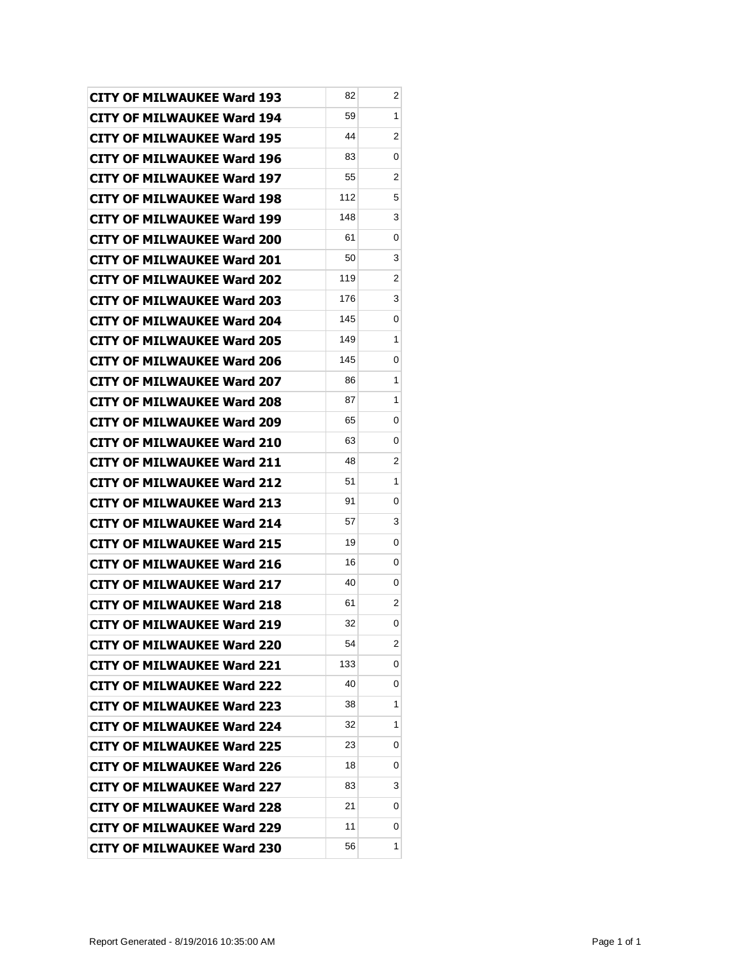| <b>CITY OF MILWAUKEE Ward 193</b> | 82  | 2 |
|-----------------------------------|-----|---|
| <b>CITY OF MILWAUKEE Ward 194</b> | 59  | 1 |
| <b>CITY OF MILWAUKEE Ward 195</b> | 44  | 2 |
| <b>CITY OF MILWAUKEE Ward 196</b> | 83  | 0 |
| <b>CITY OF MILWAUKEE Ward 197</b> | 55  | 2 |
| <b>CITY OF MILWAUKEE Ward 198</b> | 112 | 5 |
| <b>CITY OF MILWAUKEE Ward 199</b> | 148 | 3 |
| <b>CITY OF MILWAUKEE Ward 200</b> | 61  | 0 |
| <b>CITY OF MILWAUKEE Ward 201</b> | 50  | 3 |
| <b>CITY OF MILWAUKEE Ward 202</b> | 119 | 2 |
| <b>CITY OF MILWAUKEE Ward 203</b> | 176 | 3 |
| <b>CITY OF MILWAUKEE Ward 204</b> | 145 | 0 |
| <b>CITY OF MILWAUKEE Ward 205</b> | 149 | 1 |
| <b>CITY OF MILWAUKEE Ward 206</b> | 145 | 0 |
| <b>CITY OF MILWAUKEE Ward 207</b> | 86  | 1 |
| <b>CITY OF MILWAUKEE Ward 208</b> | 87  | 1 |
| <b>CITY OF MILWAUKEE Ward 209</b> | 65  | 0 |
| <b>CITY OF MILWAUKEE Ward 210</b> | 63  | 0 |
| <b>CITY OF MILWAUKEE Ward 211</b> | 48  | 2 |
| <b>CITY OF MILWAUKEE Ward 212</b> | 51  | 1 |
| <b>CITY OF MILWAUKEE Ward 213</b> | 91  | 0 |
| <b>CITY OF MILWAUKEE Ward 214</b> | 57  | 3 |
| <b>CITY OF MILWAUKEE Ward 215</b> | 19  | 0 |
| <b>CITY OF MILWAUKEE Ward 216</b> | 16  | 0 |
| <b>CITY OF MILWAUKEE Ward 217</b> | 40  | 0 |
| <b>CITY OF MILWAUKEE Ward 218</b> | 61  | 2 |
| <b>CITY OF MILWAUKEE Ward 219</b> | 32  | 0 |
| <b>CITY OF MILWAUKEE Ward 220</b> | 54  | 2 |
| <b>CITY OF MILWAUKEE Ward 221</b> | 133 | 0 |
| <b>CITY OF MILWAUKEE Ward 222</b> | 40  | 0 |
| <b>CITY OF MILWAUKEE Ward 223</b> | 38  | 1 |
| <b>CITY OF MILWAUKEE Ward 224</b> | 32  | 1 |
| <b>CITY OF MILWAUKEE Ward 225</b> | 23  | 0 |
| <b>CITY OF MILWAUKEE Ward 226</b> | 18  | 0 |
| <b>CITY OF MILWAUKEE Ward 227</b> | 83  | 3 |
| <b>CITY OF MILWAUKEE Ward 228</b> | 21  | 0 |
| <b>CITY OF MILWAUKEE Ward 229</b> | 11  | 0 |
| <b>CITY OF MILWAUKEE Ward 230</b> | 56  | 1 |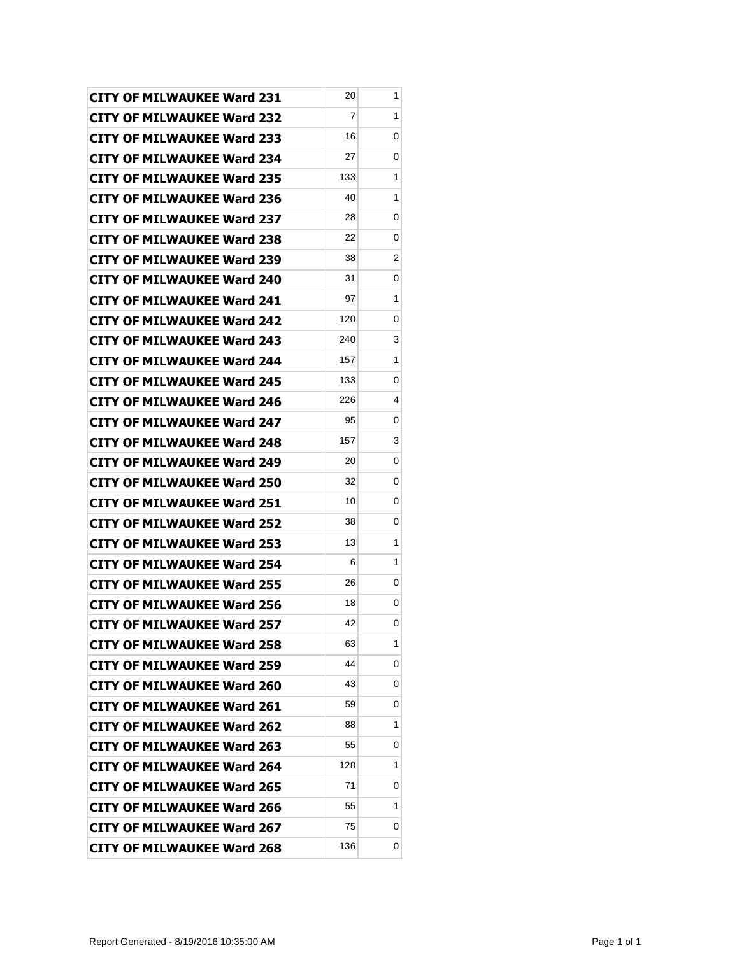| <b>CITY OF MILWAUKEE Ward 231</b> | 20  | 1 |
|-----------------------------------|-----|---|
| <b>CITY OF MILWAUKEE Ward 232</b> | 7   | 1 |
| <b>CITY OF MILWAUKEE Ward 233</b> | 16  | 0 |
| <b>CITY OF MILWAUKEE Ward 234</b> | 27  | 0 |
| <b>CITY OF MILWAUKEE Ward 235</b> | 133 | 1 |
| <b>CITY OF MILWAUKEE Ward 236</b> | 40  | 1 |
| <b>CITY OF MILWAUKEE Ward 237</b> | 28  | 0 |
| <b>CITY OF MILWAUKEE Ward 238</b> | 22  | 0 |
| <b>CITY OF MILWAUKEE Ward 239</b> | 38  | 2 |
| <b>CITY OF MILWAUKEE Ward 240</b> | 31  | 0 |
| <b>CITY OF MILWAUKEE Ward 241</b> | 97  | 1 |
| <b>CITY OF MILWAUKEE Ward 242</b> | 120 | 0 |
| <b>CITY OF MILWAUKEE Ward 243</b> | 240 | 3 |
| <b>CITY OF MILWAUKEE Ward 244</b> | 157 | 1 |
| <b>CITY OF MILWAUKEE Ward 245</b> | 133 | 0 |
| <b>CITY OF MILWAUKEE Ward 246</b> | 226 | 4 |
| <b>CITY OF MILWAUKEE Ward 247</b> | 95  | 0 |
| <b>CITY OF MILWAUKEE Ward 248</b> | 157 | 3 |
| <b>CITY OF MILWAUKEE Ward 249</b> | 20  | 0 |
| <b>CITY OF MILWAUKEE Ward 250</b> | 32  | 0 |
| <b>CITY OF MILWAUKEE Ward 251</b> | 10  | 0 |
| <b>CITY OF MILWAUKEE Ward 252</b> | 38  | 0 |
| CITY OF MILWAUKEE Ward 253        | 13  | 1 |
| <b>CITY OF MILWAUKEE Ward 254</b> | 6   | 1 |
| <b>CITY OF MILWAUKEE Ward 255</b> | 26  | 0 |
| <b>CITY OF MILWAUKEE Ward 256</b> | 18  | 0 |
| <b>CITY OF MILWAUKEE Ward 257</b> | 42  | 0 |
| <b>CITY OF MILWAUKEE Ward 258</b> | 63  | 1 |
| <b>CITY OF MILWAUKEE Ward 259</b> | 44  | 0 |
| <b>CITY OF MILWAUKEE Ward 260</b> | 43  | 0 |
| <b>CITY OF MILWAUKEE Ward 261</b> | 59  | 0 |
| <b>CITY OF MILWAUKEE Ward 262</b> | 88  | 1 |
| <b>CITY OF MILWAUKEE Ward 263</b> | 55  | 0 |
| <b>CITY OF MILWAUKEE Ward 264</b> | 128 | 1 |
| <b>CITY OF MILWAUKEE Ward 265</b> | 71  | 0 |
| <b>CITY OF MILWAUKEE Ward 266</b> | 55  | 1 |
| <b>CITY OF MILWAUKEE Ward 267</b> | 75  | 0 |
| <b>CITY OF MILWAUKEE Ward 268</b> | 136 | 0 |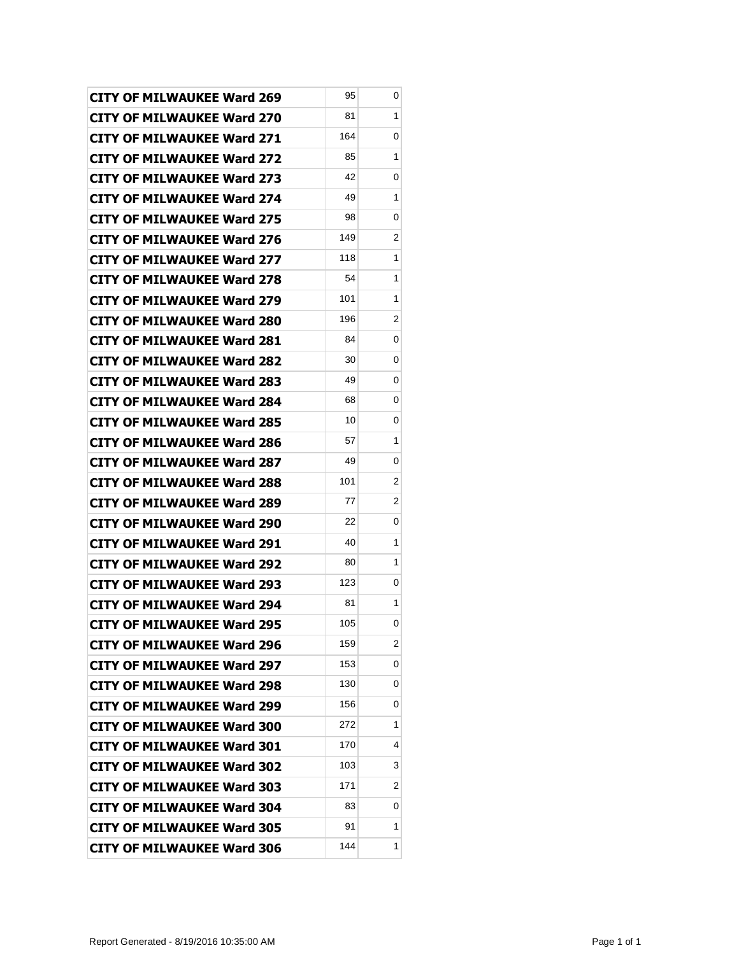| <b>CITY OF MILWAUKEE Ward 269</b> | 95  | 0 |
|-----------------------------------|-----|---|
| <b>CITY OF MILWAUKEE Ward 270</b> | 81  | 1 |
| <b>CITY OF MILWAUKEE Ward 271</b> | 164 | 0 |
| <b>CITY OF MILWAUKEE Ward 272</b> | 85  | 1 |
| <b>CITY OF MILWAUKEE Ward 273</b> | 42  | 0 |
| <b>CITY OF MILWAUKEE Ward 274</b> | 49  | 1 |
| CITY OF MILWAUKEE Ward 275        | 98  | 0 |
| <b>CITY OF MILWAUKEE Ward 276</b> | 149 | 2 |
| <b>CITY OF MILWAUKEE Ward 277</b> | 118 | 1 |
| <b>CITY OF MILWAUKEE Ward 278</b> | 54  | 1 |
| <b>CITY OF MILWAUKEE Ward 279</b> | 101 | 1 |
| <b>CITY OF MILWAUKEE Ward 280</b> | 196 | 2 |
| <b>CITY OF MILWAUKEE Ward 281</b> | 84  | 0 |
| <b>CITY OF MILWAUKEE Ward 282</b> | 30  | 0 |
| <b>CITY OF MILWAUKEE Ward 283</b> | 49  | 0 |
| <b>CITY OF MILWAUKEE Ward 284</b> | 68  | 0 |
| <b>CITY OF MILWAUKEE Ward 285</b> | 10  | 0 |
| <b>CITY OF MILWAUKEE Ward 286</b> | 57  | 1 |
| <b>CITY OF MILWAUKEE Ward 287</b> | 49  | 0 |
| <b>CITY OF MILWAUKEE Ward 288</b> | 101 | 2 |
| <b>CITY OF MILWAUKEE Ward 289</b> | 77  | 2 |
| <b>CITY OF MILWAUKEE Ward 290</b> | 22  | 0 |
| <b>CITY OF MILWAUKEE Ward 291</b> | 40  | 1 |
| <b>CITY OF MILWAUKEE Ward 292</b> | 80  | 1 |
| <b>CITY OF MILWAUKEE Ward 293</b> | 123 | 0 |
| <b>CITY OF MILWAUKEE Ward 294</b> | 81  | 1 |
| <b>CITY OF MILWAUKEE Ward 295</b> | 105 | 0 |
| <b>CITY OF MILWAUKEE Ward 296</b> | 159 | 2 |
| <b>CITY OF MILWAUKEE Ward 297</b> | 153 | 0 |
| <b>CITY OF MILWAUKEE Ward 298</b> | 130 | 0 |
| <b>CITY OF MILWAUKEE Ward 299</b> | 156 | 0 |
| <b>CITY OF MILWAUKEE Ward 300</b> | 272 | 1 |
| <b>CITY OF MILWAUKEE Ward 301</b> | 170 | 4 |
| <b>CITY OF MILWAUKEE Ward 302</b> | 103 | 3 |
| <b>CITY OF MILWAUKEE Ward 303</b> | 171 | 2 |
| <b>CITY OF MILWAUKEE Ward 304</b> | 83  | 0 |
| <b>CITY OF MILWAUKEE Ward 305</b> | 91  | 1 |
| <b>CITY OF MILWAUKEE Ward 306</b> | 144 | 1 |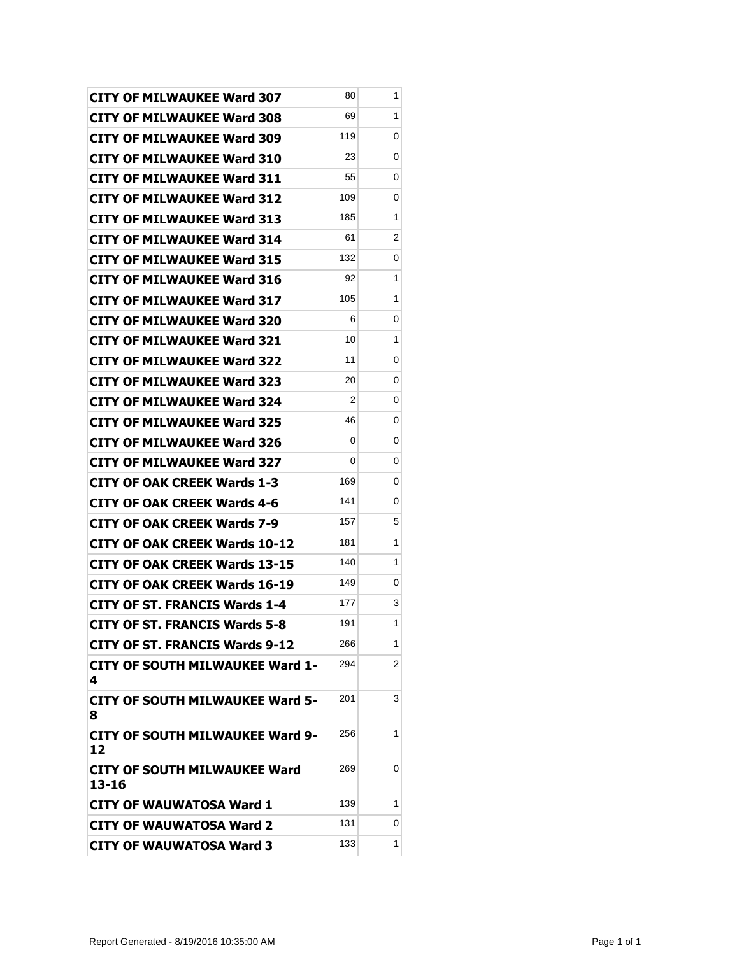| <b>CITY OF MILWAUKEE Ward 307</b>            | 80  | 1 |
|----------------------------------------------|-----|---|
| <b>CITY OF MILWAUKEE Ward 308</b>            | 69  | 1 |
| <b>CITY OF MILWAUKEE Ward 309</b>            | 119 | 0 |
| <b>CITY OF MILWAUKEE Ward 310</b>            | 23  | 0 |
| <b>CITY OF MILWAUKEE Ward 311</b>            | 55  | 0 |
| <b>CITY OF MILWAUKEE Ward 312</b>            | 109 | 0 |
| <b>CITY OF MILWAUKEE Ward 313</b>            | 185 | 1 |
| <b>CITY OF MILWAUKEE Ward 314</b>            | 61  | 2 |
| <b>CITY OF MILWAUKEE Ward 315</b>            | 132 | 0 |
| <b>CITY OF MILWAUKEE Ward 316</b>            | 92  | 1 |
| <b>CITY OF MILWAUKEE Ward 317</b>            | 105 | 1 |
| <b>CITY OF MILWAUKEE Ward 320</b>            | 6   | 0 |
| <b>CITY OF MILWAUKEE Ward 321</b>            | 10  | 1 |
| <b>CITY OF MILWAUKEE Ward 322</b>            | 11  | 0 |
| <b>CITY OF MILWAUKEE Ward 323</b>            | 20  | 0 |
| <b>CITY OF MILWAUKEE Ward 324</b>            | 2   | 0 |
| <b>CITY OF MILWAUKEE Ward 325</b>            | 46  | 0 |
| <b>CITY OF MILWAUKEE Ward 326</b>            | 0   | 0 |
| <b>CITY OF MILWAUKEE Ward 327</b>            | 0   | 0 |
| <b>CITY OF OAK CREEK Wards 1-3</b>           | 169 | 0 |
| <b>CITY OF OAK CREEK Wards 4-6</b>           | 141 | 0 |
| <b>CITY OF OAK CREEK Wards 7-9</b>           | 157 | 5 |
| <b>CITY OF OAK CREEK Wards 10-12</b>         | 181 | 1 |
| <b>CITY OF OAK CREEK Wards 13-15</b>         | 140 | 1 |
| <b>CITY OF OAK CREEK Wards 16-19</b>         | 149 | 0 |
| <b>CITY OF ST. FRANCIS Wards 1-4</b>         | 177 | 3 |
| <b>CITY OF ST. FRANCIS Wards 5-8</b>         | 191 | 1 |
| <b>CITY OF ST. FRANCIS Wards 9-12</b>        | 266 | 1 |
| <b>CITY OF SOUTH MILWAUKEE Ward 1-</b><br>4  | 294 | 2 |
| <b>CITY OF SOUTH MILWAUKEE Ward 5-</b><br>8  | 201 | 3 |
| <b>CITY OF SOUTH MILWAUKEE Ward 9-</b><br>12 | 256 | 1 |
| CITY OF SOUTH MILWAUKEE Ward<br>13-16        | 269 | 0 |
| <b>CITY OF WAUWATOSA Ward 1</b>              | 139 | 1 |
| <b>CITY OF WAUWATOSA Ward 2</b>              | 131 | 0 |
| <b>CITY OF WAUWATOSA Ward 3</b>              | 133 | 1 |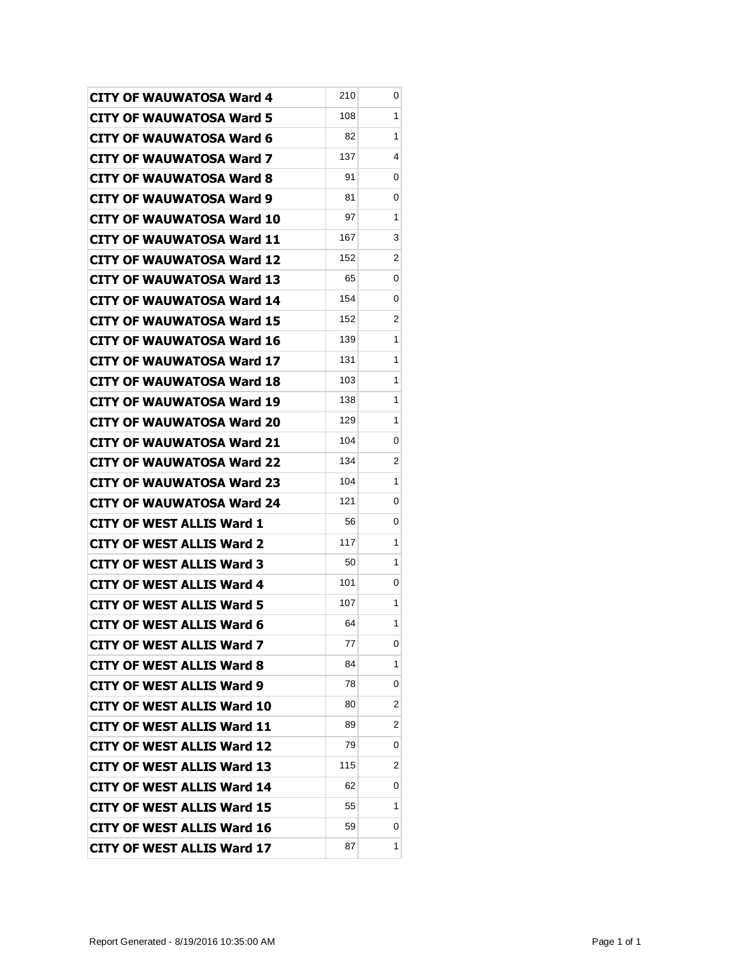| <b>CITY OF WAUWATOSA Ward 4</b>   | 210 | 0              |
|-----------------------------------|-----|----------------|
| <b>CITY OF WAUWATOSA Ward 5</b>   | 108 | 1              |
| <b>CITY OF WAUWATOSA Ward 6</b>   | 82  | 1              |
| <b>CITY OF WAUWATOSA Ward 7</b>   | 137 | 4              |
| <b>CITY OF WAUWATOSA Ward 8</b>   | 91  | 0              |
| <b>CITY OF WAUWATOSA Ward 9</b>   | 81  | 0              |
| <b>CITY OF WAUWATOSA Ward 10</b>  | 97  | 1              |
| <b>CITY OF WAUWATOSA Ward 11</b>  | 167 | 3              |
| CITY OF WAUWATOSA Ward 12         | 152 | 2              |
| CITY OF WAUWATOSA Ward 13         | 65  | 0              |
| <b>CITY OF WAUWATOSA Ward 14</b>  | 154 | 0              |
| <b>CITY OF WAUWATOSA Ward 15</b>  | 152 | $\overline{2}$ |
| <b>CITY OF WAUWATOSA Ward 16</b>  | 139 | 1              |
| CITY OF WAUWATOSA Ward 17         | 131 | 1              |
| <b>CITY OF WAUWATOSA Ward 18</b>  | 103 | 1              |
| <b>CITY OF WAUWATOSA Ward 19</b>  | 138 | 1              |
| <b>CITY OF WAUWATOSA Ward 20</b>  | 129 | 1              |
| <b>CITY OF WAUWATOSA Ward 21</b>  | 104 | 0              |
| CITY OF WAUWATOSA Ward 22         | 134 | 2              |
| <b>CITY OF WAUWATOSA Ward 23</b>  | 104 | 1              |
| <b>CITY OF WAUWATOSA Ward 24</b>  | 121 | 0              |
| <b>CITY OF WEST ALLIS Ward 1</b>  | 56  | 0              |
| <b>CITY OF WEST ALLIS Ward 2</b>  | 117 | 1              |
| CITY OF WEST ALLIS Ward 3         | 50  | 1              |
| <b>CITY OF WEST ALLIS Ward 4</b>  | 101 | 0              |
| <b>CITY OF WEST ALLIS Ward 5</b>  | 107 | 1              |
| <b>CITY OF WEST ALLIS Ward 6</b>  | 64  | 1              |
| <b>CITY OF WEST ALLIS Ward 7</b>  | 77  | 0              |
| <b>CITY OF WEST ALLIS Ward 8</b>  | 84  | 1              |
| <b>CITY OF WEST ALLIS Ward 9</b>  | 78  | 0              |
| <b>CITY OF WEST ALLIS Ward 10</b> | 80  | 2              |
| <b>CITY OF WEST ALLIS Ward 11</b> | 89  | 2              |
| <b>CITY OF WEST ALLIS Ward 12</b> | 79  | 0              |
| <b>CITY OF WEST ALLIS Ward 13</b> | 115 | 2              |
| <b>CITY OF WEST ALLIS Ward 14</b> | 62  | 0              |
| <b>CITY OF WEST ALLIS Ward 15</b> | 55  | 1              |
| <b>CITY OF WEST ALLIS Ward 16</b> | 59  | 0              |
| <b>CITY OF WEST ALLIS Ward 17</b> | 87  | 1              |